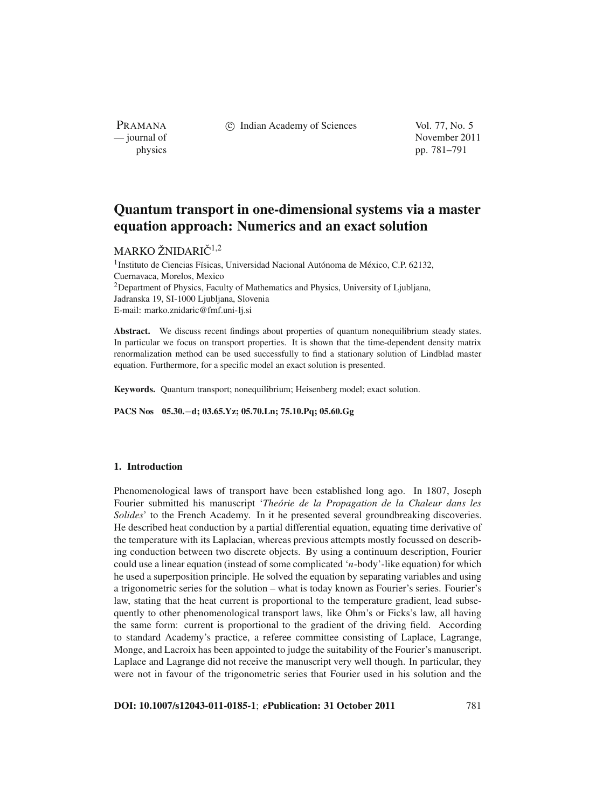PRAMANA

c Indian Academy of Sciences Vol. 77, No. 5

— journal of November 2011 physics pp. 781–791

# **Quantum transport in one-dimensional systems via a master equation approach: Numerics and an exact solution**

## MARKO ŽNIDARIČ $^{1,2}$

<sup>1</sup> Instituto de Ciencias Físicas, Universidad Nacional Autónoma de México, C.P. 62132, Cuernavaca, Morelos, Mexico 2Department of Physics, Faculty of Mathematics and Physics, University of Ljubljana, Jadranska 19, SI-1000 Ljubljana, Slovenia E-mail: marko.znidaric@fmf.uni-lj.si

Abstract. We discuss recent findings about properties of quantum nonequilibrium steady states. In particular we focus on transport properties. It is shown that the time-dependent density matrix renormalization method can be used successfully to find a stationary solution of Lindblad master equation. Furthermore, for a specific model an exact solution is presented.

**Keywords.** Quantum transport; nonequilibrium; Heisenberg model; exact solution.

**PACS Nos 05.30.**−**d; 03.65.Yz; 05.70.Ln; 75.10.Pq; 05.60.Gg**

#### **1. Introduction**

Phenomenological laws of transport have been established long ago. In 1807, Joseph Fourier submitted his manuscript '*Theórie de la Propagation de la Chaleur dans les Solides*' to the French Academy. In it he presented several groundbreaking discoveries. He described heat conduction by a partial differential equation, equating time derivative of the temperature with its Laplacian, whereas previous attempts mostly focussed on describing conduction between two discrete objects. By using a continuum description, Fourier could use a linear equation (instead of some complicated '*n*-body'-like equation) for which he used a superposition principle. He solved the equation by separating variables and using a trigonometric series for the solution – what is today known as Fourier's series. Fourier's law, stating that the heat current is proportional to the temperature gradient, lead subsequently to other phenomenological transport laws, like Ohm's or Ficks's law, all having the same form: current is proportional to the gradient of the driving field. According to standard Academy's practice, a referee committee consisting of Laplace, Lagrange, Monge, and Lacroix has been appointed to judge the suitability of the Fourier's manuscript. Laplace and Lagrange did not receive the manuscript very well though. In particular, they were not in favour of the trigonometric series that Fourier used in his solution and the

**DOI: 10.1007/s12043-011-0185-1**; *e***Publication: 31 October 2011** 781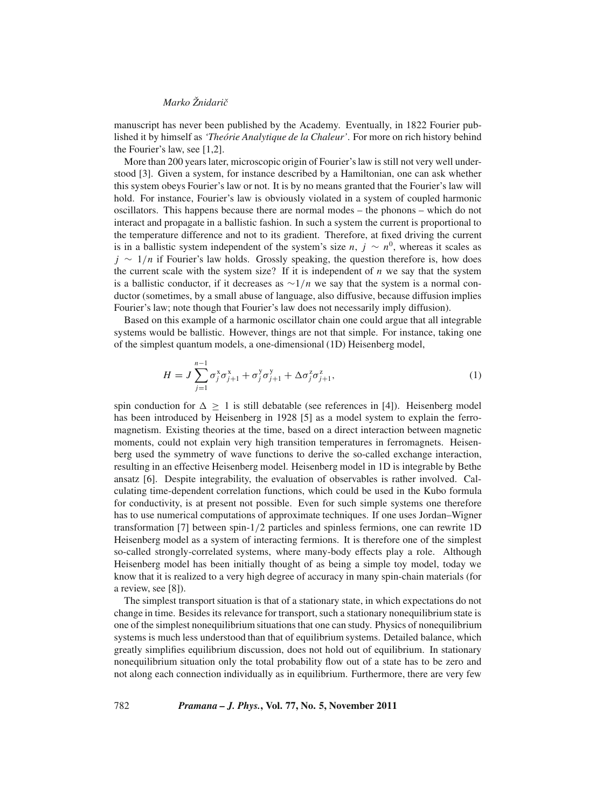manuscript has never been published by the Academy. Eventually, in 1822 Fourier published it by himself as *'Theórie Analytique de la Chaleur'*. For more on rich history behind the Fourier's law, see [1,2].

More than 200 years later, microscopic origin of Fourier's law is still not very well understood [3]. Given a system, for instance described by a Hamiltonian, one can ask whether this system obeys Fourier's law or not. It is by no means granted that the Fourier's law will hold. For instance, Fourier's law is obviously violated in a system of coupled harmonic oscillators. This happens because there are normal modes – the phonons – which do not interact and propagate in a ballistic fashion. In such a system the current is proportional to the temperature difference and not to its gradient. Therefore, at fixed driving the current is in a ballistic system independent of the system's size *n*,  $j \sim n^0$ , whereas it scales as *j* ∼ 1/*n* if Fourier's law holds. Grossly speaking, the question therefore is, how does the current scale with the system size? If it is independent of  $n$  we say that the system is a ballistic conductor, if it decreases as ∼1/*n* we say that the system is a normal conductor (sometimes, by a small abuse of language, also diffusive, because diffusion implies Fourier's law; note though that Fourier's law does not necessarily imply diffusion).

Based on this example of a harmonic oscillator chain one could argue that all integrable systems would be ballistic. However, things are not that simple. For instance, taking one of the simplest quantum models, a one-dimensional (1D) Heisenberg model,

$$
H = J \sum_{j=1}^{n-1} \sigma_j^x \sigma_{j+1}^x + \sigma_j^y \sigma_{j+1}^y + \Delta \sigma_j^z \sigma_{j+1}^z,
$$
\n(1)

spin conduction for  $\Delta \geq 1$  is still debatable (see references in [4]). Heisenberg model has been introduced by Heisenberg in 1928 [5] as a model system to explain the ferromagnetism. Existing theories at the time, based on a direct interaction between magnetic moments, could not explain very high transition temperatures in ferromagnets. Heisenberg used the symmetry of wave functions to derive the so-called exchange interaction, resulting in an effective Heisenberg model. Heisenberg model in 1D is integrable by Bethe ansatz [6]. Despite integrability, the evaluation of observables is rather involved. Calculating time-dependent correlation functions, which could be used in the Kubo formula for conductivity, is at present not possible. Even for such simple systems one therefore has to use numerical computations of approximate techniques. If one uses Jordan–Wigner transformation [7] between spin-1/2 particles and spinless fermions, one can rewrite 1D Heisenberg model as a system of interacting fermions. It is therefore one of the simplest so-called strongly-correlated systems, where many-body effects play a role. Although Heisenberg model has been initially thought of as being a simple toy model, today we know that it is realized to a very high degree of accuracy in many spin-chain materials (for a review, see [8]).

The simplest transport situation is that of a stationary state, in which expectations do not change in time. Besides its relevance for transport, such a stationary nonequilibrium state is one of the simplest nonequilibrium situations that one can study. Physics of nonequilibrium systems is much less understood than that of equilibrium systems. Detailed balance, which greatly simplifies equilibrium discussion, does not hold out of equilibrium. In stationary nonequilibrium situation only the total probability flow out of a state has to be zero and not along each connection individually as in equilibrium. Furthermore, there are very few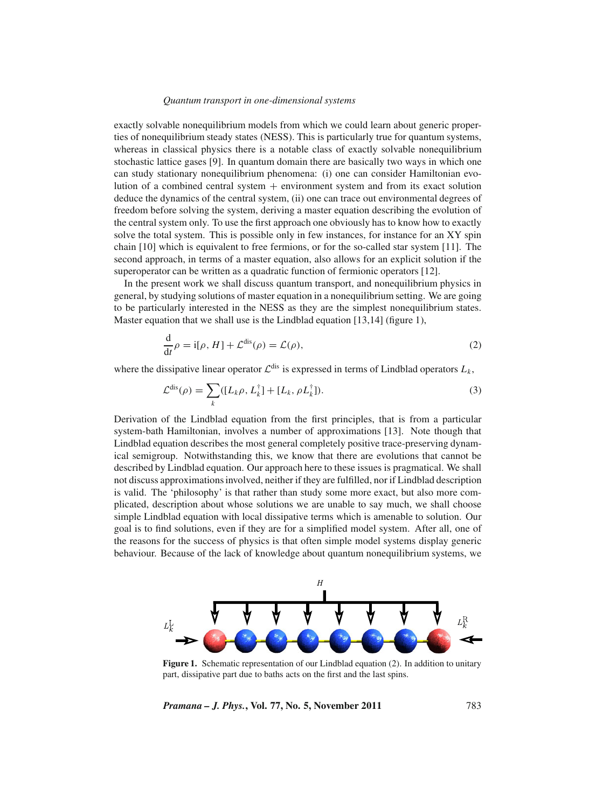exactly solvable nonequilibrium models from which we could learn about generic properties of nonequilibrium steady states (NESS). This is particularly true for quantum systems, whereas in classical physics there is a notable class of exactly solvable nonequilibrium stochastic lattice gases [9]. In quantum domain there are basically two ways in which one can study stationary nonequilibrium phenomena: (i) one can consider Hamiltonian evolution of a combined central system  $+$  environment system and from its exact solution deduce the dynamics of the central system, (ii) one can trace out environmental degrees of freedom before solving the system, deriving a master equation describing the evolution of the central system only. To use the first approach one obviously has to know how to exactly solve the total system. This is possible only in few instances, for instance for an XY spin chain [10] which is equivalent to free fermions, or for the so-called star system [11]. The second approach, in terms of a master equation, also allows for an explicit solution if the superoperator can be written as a quadratic function of fermionic operators [12].

In the present work we shall discuss quantum transport, and nonequilibrium physics in general, by studying solutions of master equation in a nonequilibrium setting. We are going to be particularly interested in the NESS as they are the simplest nonequilibrium states. Master equation that we shall use is the Lindblad equation [13,14] (figure 1),

$$
\frac{\mathrm{d}}{\mathrm{d}t}\rho = \mathrm{i}[\rho, H] + \mathcal{L}^{\mathrm{dis}}(\rho) = \mathcal{L}(\rho),\tag{2}
$$

where the dissipative linear operator  $\mathcal{L}^{dis}$  is expressed in terms of Lindblad operators  $L_k$ ,

$$
\mathcal{L}^{\text{dis}}(\rho) = \sum_{k} ([L_k \rho, L_k^{\dagger}] + [L_k, \rho L_k^{\dagger}]). \tag{3}
$$

Derivation of the Lindblad equation from the first principles, that is from a particular system-bath Hamiltonian, involves a number of approximations [13]. Note though that Lindblad equation describes the most general completely positive trace-preserving dynamical semigroup. Notwithstanding this, we know that there are evolutions that cannot be described by Lindblad equation. Our approach here to these issues is pragmatical. We shall not discuss approximations involved, neither if they are fulfilled, nor if Lindblad description is valid. The 'philosophy' is that rather than study some more exact, but also more complicated, description about whose solutions we are unable to say much, we shall choose simple Lindblad equation with local dissipative terms which is amenable to solution. Our goal is to find solutions, even if they are for a simplified model system. After all, one of the reasons for the success of physics is that often simple model systems display generic behaviour. Because of the lack of knowledge about quantum nonequilibrium systems, we



Figure 1. Schematic representation of our Lindblad equation (2). In addition to unitary part, dissipative part due to baths acts on the first and the last spins.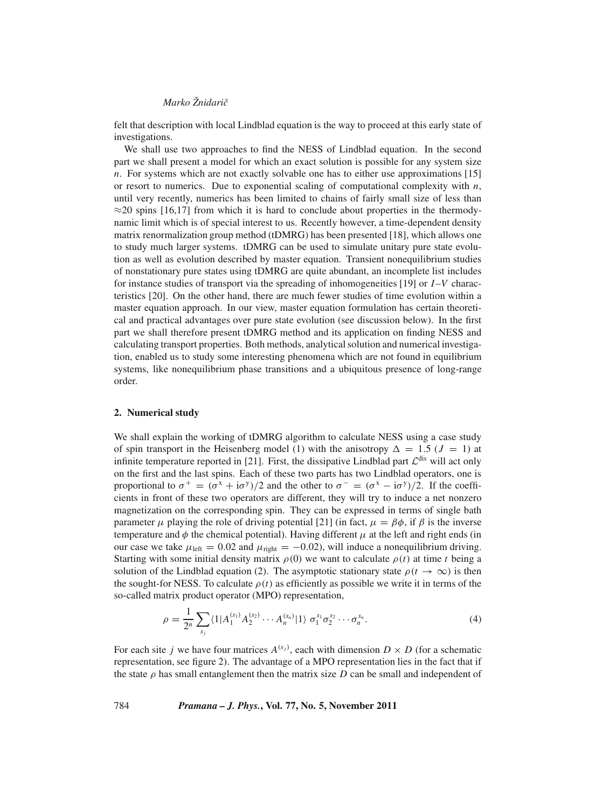felt that description with local Lindblad equation is the way to proceed at this early state of investigations.

We shall use two approaches to find the NESS of Lindblad equation. In the second part we shall present a model for which an exact solution is possible for any system size *n*. For systems which are not exactly solvable one has to either use approximations [15] or resort to numerics. Due to exponential scaling of computational complexity with  $n$ , until very recently, numerics has been limited to chains of fairly small size of less than  $\approx$ 20 spins [16,17] from which it is hard to conclude about properties in the thermodynamic limit which is of special interest to us. Recently however, a time-dependent density matrix renormalization group method (tDMRG) has been presented [18], which allows one to study much larger systems. tDMRG can be used to simulate unitary pure state evolution as well as evolution described by master equation. Transient nonequilibrium studies of nonstationary pure states using tDMRG are quite abundant, an incomplete list includes for instance studies of transport via the spreading of inhomogeneities [19] or *I*–*V* characteristics [20]. On the other hand, there are much fewer studies of time evolution within a master equation approach. In our view, master equation formulation has certain theoretical and practical advantages over pure state evolution (see discussion below). In the first part we shall therefore present tDMRG method and its application on finding NESS and calculating transport properties. Both methods, analytical solution and numerical investigation, enabled us to study some interesting phenomena which are not found in equilibrium systems, like nonequilibrium phase transitions and a ubiquitous presence of long-range order.

#### **2. Numerical study**

We shall explain the working of tDMRG algorithm to calculate NESS using a case study of spin transport in the Heisenberg model (1) with the anisotropy  $\Delta = 1.5$  ( $J = 1$ ) at infinite temperature reported in [21]. First, the dissipative Lindblad part  $\mathcal{L}^{\text{dis}}$  will act only on the first and the last spins. Each of these two parts has two Lindblad operators, one is proportional to  $\sigma^+ = (\sigma^x + i\sigma^y)/2$  and the other to  $\sigma^- = (\sigma^x - i\sigma^y)/2$ . If the coefficients in front of these two operators are different, they will try to induce a net nonzero magnetization on the corresponding spin. They can be expressed in terms of single bath parameter  $\mu$  playing the role of driving potential [21] (in fact,  $\mu = \beta \phi$ , if  $\beta$  is the inverse temperature and  $\phi$  the chemical potential). Having different  $\mu$  at the left and right ends (in our case we take  $\mu_{\text{left}} = 0.02$  and  $\mu_{\text{right}} = -0.02$ ), will induce a nonequilibrium driving. Starting with some initial density matrix  $\rho(0)$  we want to calculate  $\rho(t)$  at time *t* being a solution of the Lindblad equation (2). The asymptotic stationary state  $\rho(t \to \infty)$  is then the sought-for NESS. To calculate  $\rho(t)$  as efficiently as possible we write it in terms of the so-called matrix product operator (MPO) representation,

$$
\rho = \frac{1}{2^n} \sum_{s_j} \langle 1 | A_1^{(s_1)} A_2^{(s_2)} \cdots A_n^{(s_n)} | 1 \rangle \ \sigma_1^{s_1} \sigma_2^{s_2} \cdots \sigma_n^{s_n} . \tag{4}
$$

For each site *j* we have four matrices  $A^{(s_j)}$ , each with dimension  $D \times D$  (for a schematic representation, see figure 2). The advantage of a MPO representation lies in the fact that if the state  $\rho$  has small entanglement then the matrix size *D* can be small and independent of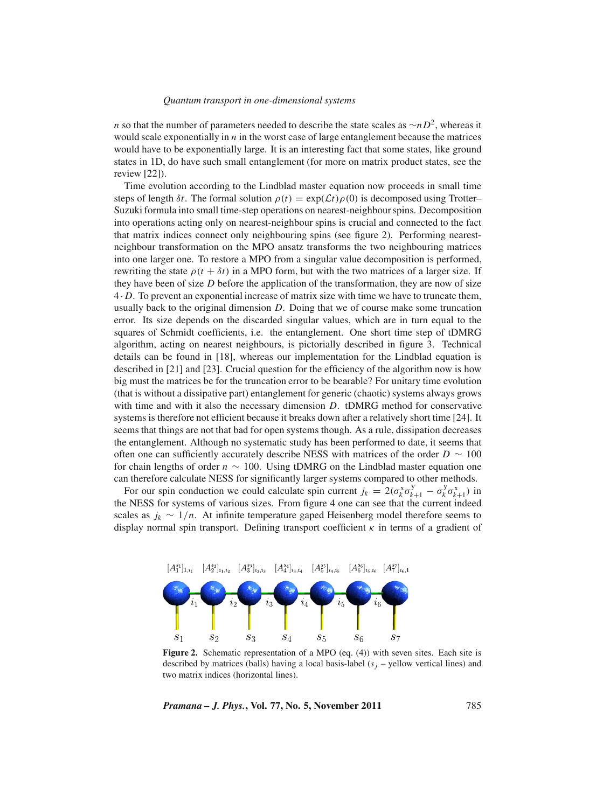*n* so that the number of parameters needed to describe the state scales as ∼*nD*<sup>2</sup>, whereas it would scale exponentially in *n* in the worst case of large entanglement because the matrices would have to be exponentially large. It is an interesting fact that some states, like ground states in 1D, do have such small entanglement (for more on matrix product states, see the review [22]).

Time evolution according to the Lindblad master equation now proceeds in small time steps of length  $\delta t$ . The formal solution  $\rho(t) = \exp(\mathcal{L}t)\rho(0)$  is decomposed using Trotter– Suzuki formula into small time-step operations on nearest-neighbour spins. Decomposition into operations acting only on nearest-neighbour spins is crucial and connected to the fact that matrix indices connect only neighbouring spins (see figure 2). Performing nearestneighbour transformation on the MPO ansatz transforms the two neighbouring matrices into one larger one. To restore a MPO from a singular value decomposition is performed, rewriting the state  $\rho(t + \delta t)$  in a MPO form, but with the two matrices of a larger size. If they have been of size *D* before the application of the transformation, they are now of size 4· *D*. To prevent an exponential increase of matrix size with time we have to truncate them, usually back to the original dimension *D*. Doing that we of course make some truncation error. Its size depends on the discarded singular values, which are in turn equal to the squares of Schmidt coefficients, i.e. the entanglement. One short time step of tDMRG algorithm, acting on nearest neighbours, is pictorially described in figure 3. Technical details can be found in [18], whereas our implementation for the Lindblad equation is described in [21] and [23]. Crucial question for the efficiency of the algorithm now is how big must the matrices be for the truncation error to be bearable? For unitary time evolution (that is without a dissipative part) entanglement for generic (chaotic) systems always grows with time and with it also the necessary dimension *D*. tDMRG method for conservative systems is therefore not efficient because it breaks down after a relatively short time [24]. It seems that things are not that bad for open systems though. As a rule, dissipation decreases the entanglement. Although no systematic study has been performed to date, it seems that often one can sufficiently accurately describe NESS with matrices of the order *D* ∼ 100 for chain lengths of order *n* ∼ 100. Using tDMRG on the Lindblad master equation one can therefore calculate NESS for significantly larger systems compared to other methods.

For our spin conduction we could calculate spin current  $j_k = 2(\sigma_k^x \sigma_{k+1}^y - \sigma_k^y \sigma_{k+1}^x)$  in the NESS for systems of various sizes. From figure 4 one can see that the current indeed scales as  $j_k \sim 1/n$ . At infinite temperature gaped Heisenberg model therefore seems to display normal spin transport. Defining transport coefficient  $\kappa$  in terms of a gradient of



Figure 2. Schematic representation of a MPO (eq. (4)) with seven sites. Each site is described by matrices (balls) having a local basis-label  $(s<sub>i</sub> -$  yellow vertical lines) and two matrix indices (horizontal lines).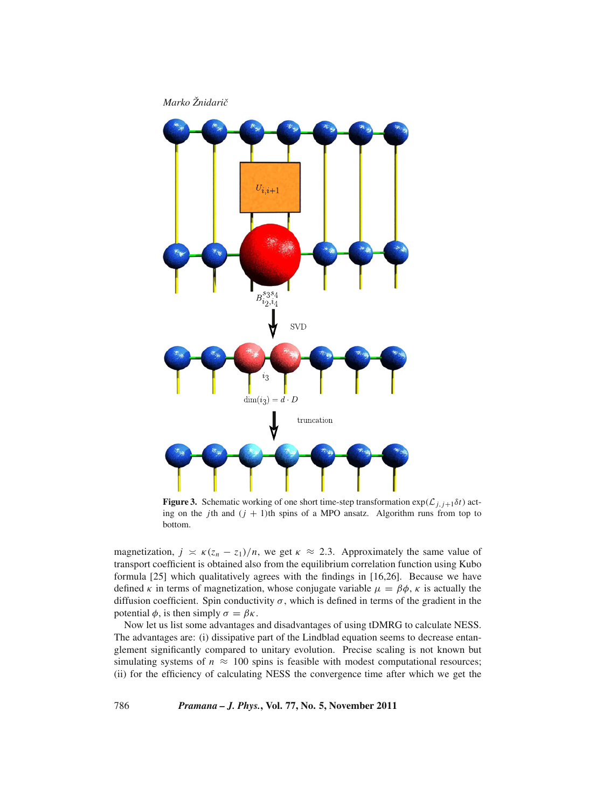

**Figure 3.** Schematic working of one short time-step transformation  $\exp(\mathcal{L}_{i,j+1}\delta t)$  acting on the *j*th and  $(j + 1)$ th spins of a MPO ansatz. Algorithm runs from top to bottom.

magnetization,  $j \geq \kappa (z_n - z_1)/n$ , we get  $\kappa \approx 2.3$ . Approximately the same value of transport coefficient is obtained also from the equilibrium correlation function using Kubo formula [25] which qualitatively agrees with the findings in [16,26]. Because we have defined  $\kappa$  in terms of magnetization, whose conjugate variable  $\mu = \beta \phi$ ,  $\kappa$  is actually the diffusion coefficient. Spin conductivity  $\sigma$ , which is defined in terms of the gradient in the potential  $\phi$ , is then simply  $\sigma = \beta \kappa$ .

Now let us list some advantages and disadvantages of using tDMRG to calculate NESS. The advantages are: (i) dissipative part of the Lindblad equation seems to decrease entanglement significantly compared to unitary evolution. Precise scaling is not known but simulating systems of  $n \approx 100$  spins is feasible with modest computational resources; (ii) for the efficiency of calculating NESS the convergence time after which we get the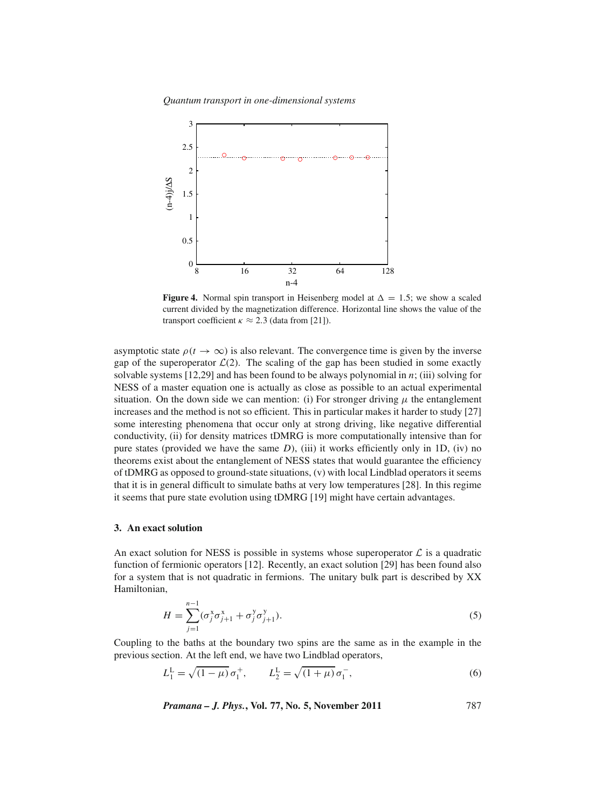*Quantum transport in one-dimensional systems*



**Figure 4.** Normal spin transport in Heisenberg model at  $\Delta = 1.5$ ; we show a scaled current divided by the magnetization difference. Horizontal line shows the value of the transport coefficient  $\kappa \approx 2.3$  (data from [21]).

asymptotic state  $\rho(t \to \infty)$  is also relevant. The convergence time is given by the inverse gap of the superoperator  $\mathcal{L}(2)$ . The scaling of the gap has been studied in some exactly solvable systems [12,29] and has been found to be always polynomial in *n*; (iii) solving for NESS of a master equation one is actually as close as possible to an actual experimental situation. On the down side we can mention: (i) For stronger driving  $\mu$  the entanglement increases and the method is not so efficient. This in particular makes it harder to study [27] some interesting phenomena that occur only at strong driving, like negative differential conductivity, (ii) for density matrices tDMRG is more computationally intensive than for pure states (provided we have the same *D*), (iii) it works efficiently only in 1D, (iv) no theorems exist about the entanglement of NESS states that would guarantee the efficiency of tDMRG as opposed to ground-state situations, (v) with local Lindblad operators it seems that it is in general difficult to simulate baths at very low temperatures [28]. In this regime it seems that pure state evolution using tDMRG [19] might have certain advantages.

#### **3. An exact solution**

An exact solution for NESS is possible in systems whose superoperator  $\mathcal L$  is a quadratic function of fermionic operators [12]. Recently, an exact solution [29] has been found also for a system that is not quadratic in fermions. The unitary bulk part is described by XX Hamiltonian,

$$
H = \sum_{j=1}^{n-1} (\sigma_j^x \sigma_{j+1}^x + \sigma_j^y \sigma_{j+1}^y).
$$
 (5)

Coupling to the baths at the boundary two spins are the same as in the example in the previous section. At the left end, we have two Lindblad operators,

$$
L_1^{\mathcal{L}} = \sqrt{(1-\mu)} \, \sigma_1^+, \qquad L_2^{\mathcal{L}} = \sqrt{(1+\mu)} \, \sigma_1^-, \tag{6}
$$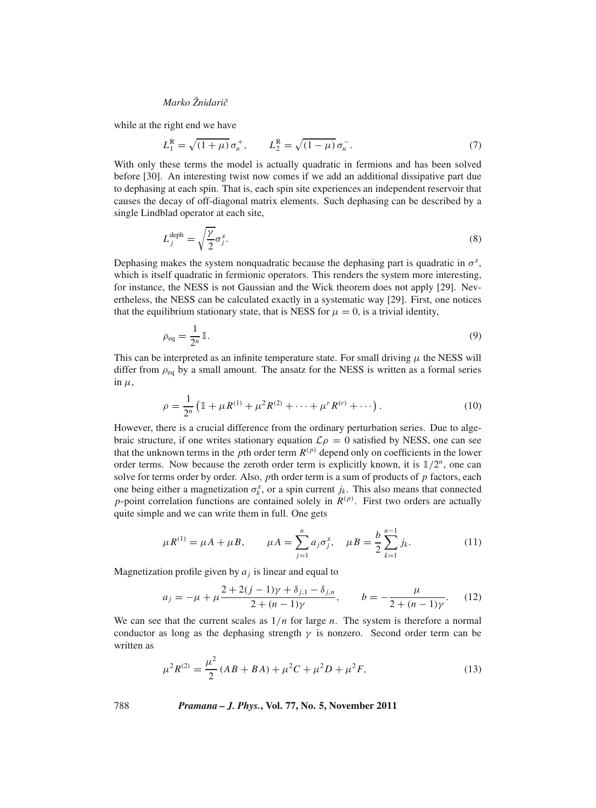while at the right end we have

$$
L_1^{\rm R} = \sqrt{(1+\mu)} \,\sigma_n^+, \qquad L_2^{\rm R} = \sqrt{(1-\mu)} \,\sigma_n^-.
$$
 (7)

With only these terms the model is actually quadratic in fermions and has been solved before [30]. An interesting twist now comes if we add an additional dissipative part due to dephasing at each spin. That is, each spin site experiences an independent reservoir that causes the decay of off-diagonal matrix elements. Such dephasing can be described by a single Lindblad operator at each site,

$$
L_j^{\text{deph}} = \sqrt{\frac{\gamma}{2}} \sigma_j^z. \tag{8}
$$

Dephasing makes the system nonquadratic because the dephasing part is quadratic in  $\sigma^2$ , which is itself quadratic in fermionic operators. This renders the system more interesting, for instance, the NESS is not Gaussian and the Wick theorem does not apply [29]. Nevertheless, the NESS can be calculated exactly in a systematic way [29]. First, one notices that the equilibrium stationary state, that is NESS for  $\mu = 0$ , is a trivial identity,

$$
\rho_{\text{eq}} = \frac{1}{2^n} \mathbb{1}.
$$
\n<sup>(9)</sup>

This can be interpreted as an infinite temperature state. For small driving  $\mu$  the NESS will differ from  $\rho_{eq}$  by a small amount. The ansatz for the NESS is written as a formal series in  $\mu$ ,

$$
\rho = \frac{1}{2^n} \left( \mathbb{1} + \mu R^{(1)} + \mu^2 R^{(2)} + \dots + \mu^r R^{(r)} + \dots \right). \tag{10}
$$

However, there is a crucial difference from the ordinary perturbation series. Due to algebraic structure, if one writes stationary equation  $\mathcal{L} \rho = 0$  satisfied by NESS, one can see that the unknown terms in the *p*th order term  $R^{(p)}$  depend only on coefficients in the lower order terms. Now because the zeroth order term is explicitly known, it is  $1/2^n$ , one can solve for terms order by order. Also, *p*th order term is a sum of products of *p* factors, each one being either a magnetization  $\sigma_k^z$ , or a spin current  $j_k$ . This also means that connected *p*-point correlation functions are contained solely in  $R^{(p)}$ . First two orders are actually quite simple and we can write them in full. One gets

$$
\mu R^{(1)} = \mu A + \mu B, \qquad \mu A = \sum_{j=1}^{n} a_j \sigma_j^z, \quad \mu B = \frac{b}{2} \sum_{k=1}^{n-1} j_k.
$$
 (11)

Magnetization profile given by  $a_i$  is linear and equal to

$$
a_j = -\mu + \mu \frac{2 + 2(j - 1)\gamma + \delta_{j,1} - \delta_{j,n}}{2 + (n - 1)\gamma}, \qquad b = -\frac{\mu}{2 + (n - 1)\gamma}.
$$
 (12)

We can see that the current scales as  $1/n$  for large *n*. The system is therefore a normal conductor as long as the dephasing strength  $\gamma$  is nonzero. Second order term can be written as

$$
\mu^2 R^{(2)} = \frac{\mu^2}{2} (AB + BA) + \mu^2 C + \mu^2 D + \mu^2 F,\tag{13}
$$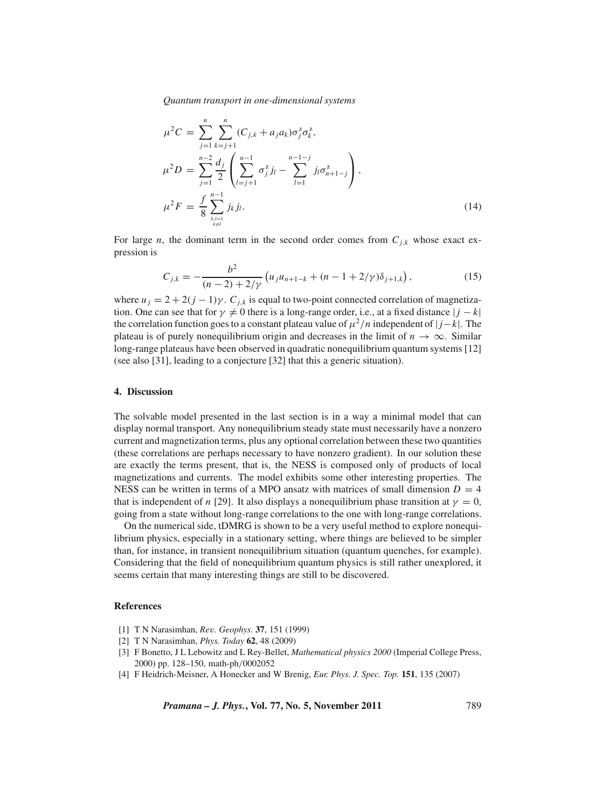$$
\mu^2 C = \sum_{j=1}^n \sum_{k=j+1}^n (C_{j,k} + a_j a_k) \sigma_j^2 \sigma_k^2,
$$
  
\n
$$
\mu^2 D = \sum_{j=1}^{n-2} \frac{d_j}{2} \left( \sum_{l=j+1}^{n-1} \sigma_j^2 j_l - \sum_{l=1}^{n-1-j} j_l \sigma_{n+1-j}^2 \right),
$$
  
\n
$$
\mu^2 F = \frac{f}{8} \sum_{k,l=1 \atop k \neq l}^{n-1} j_k j_l.
$$
\n(14)

For large *n*, the dominant term in the second order comes from  $C_{j,k}$  whose exact expression is

$$
C_{j,k} = -\frac{b^2}{(n-2) + 2/\gamma} \left( u_j u_{n+1-k} + (n-1+2/\gamma) \delta_{j+1,k} \right),\tag{15}
$$

where  $u_j = 2 + 2(j - 1)\gamma$ .  $C_{j,k}$  is equal to two-point connected correlation of magnetization. One can see that for  $\gamma \neq 0$  there is a long-range order, i.e., at a fixed distance  $|j - k|$ the correlation function goes to a constant plateau value of  $\mu^2/n$  independent of  $|j-k|$ . The plateau is of purely nonequilibrium origin and decreases in the limit of  $n \to \infty$ . Similar long-range plateaus have been observed in quadratic nonequilibrium quantum systems [12] (see also [31], leading to a conjecture [32] that this a generic situation).

#### **4. Discussion**

The solvable model presented in the last section is in a way a minimal model that can display normal transport. Any nonequilibrium steady state must necessarily have a nonzero current and magnetization terms, plus any optional correlation between these two quantities (these correlations are perhaps necessary to have nonzero gradient). In our solution these are exactly the terms present, that is, the NESS is composed only of products of local magnetizations and currents. The model exhibits some other interesting properties. The NESS can be written in terms of a MPO ansatz with matrices of small dimension  $D = 4$ that is independent of *n* [29]. It also displays a nonequilibrium phase transition at  $\gamma = 0$ , going from a state without long-range correlations to the one with long-range correlations.

On the numerical side, tDMRG is shown to be a very useful method to explore nonequilibrium physics, especially in a stationary setting, where things are believed to be simpler than, for instance, in transient nonequilibrium situation (quantum quenches, for example). Considering that the field of nonequilibrium quantum physics is still rather unexplored, it seems certain that many interesting things are still to be discovered.

#### **References**

- [1] T N Narasimhan, *Re*v*. Geophys.* **37**, 151 (1999)
- [2] T N Narasimhan, *Phys. Today* **62**, 48 (2009)
- [3] F Bonetto, J L Lebowitz and L Rey-Bellet, *Mathematical physics 2000* (Imperial College Press, 2000) pp. 128–150, math-ph/0002052
- [4] F Heidrich-Meisner, A Honecker and W Brenig, *Eur. Phys. J. Spec. Top.* **151**, 135 (2007)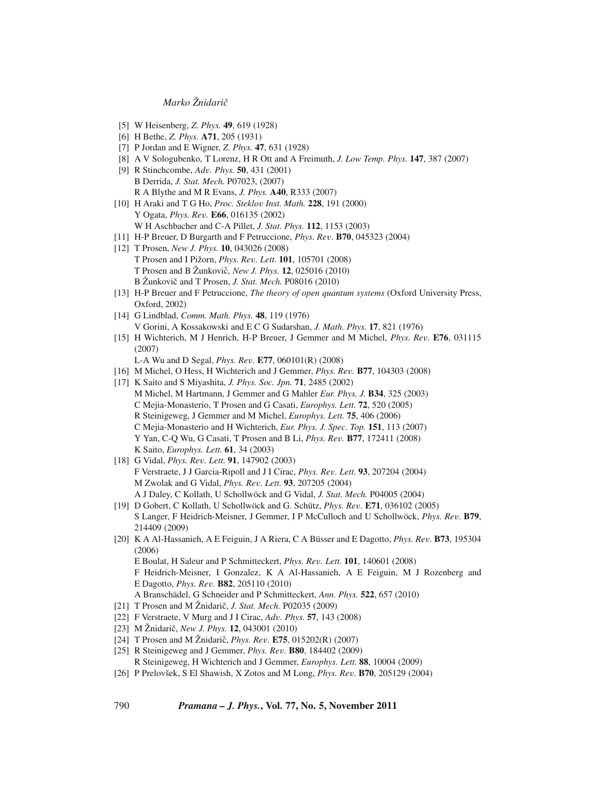- [5] W Heisenberg, *Z. Phys.* **49**, 619 (1928)
- [6] H Bethe, *Z. Phys.* **A71**, 205 (1931)
- [7] P Jordan and E Wigner, *Z. Phys.* **47**, 631 (1928)
- [8] A V Sologubenko, T Lorenz, H R Ott and A Freimuth, *J. Low Temp. Phys.* **147**, 387 (2007)
- [9] R Stinchcombe, *Ad*v*. Phys.* **50**, 431 (2001) B Derrida, *J. Stat. Mech.* P07023, (2007) R A Blythe and M R Evans, *J. Phys.* **A40**, R333 (2007)
- [10] H Araki and T G Ho, *Proc. Steklo*v *Inst. Math.* **228**, 191 (2000) Y Ogata, *Phys. Re*v*.* **E66**, 016135 (2002) W H Aschbacher and C-A Pillet, *J. Stat. Phys.* **112**, 1153 (2003)
- [11] H-P Breuer, D Burgarth and F Petruccione, *Phys. Re*v*.* **B70**, 045323 (2004)
- [12] T Prosen, *New J. Phys.* **10**, 043026 (2008) T Prosen and I Pižorn, *Phys. Re*v*. Lett.* **101**, 105701 (2008) T Prosen and B Žunkovic,ˇ *New J. Phys.* **12**, 025016 (2010) B Žunkovič and T Prosen, *J. Stat. Mech.* P08016 (2010)
- [13] H-P Breuer and F Petruccione, *The theory of open quantum systems* (Oxford University Press, Oxford, 2002)
- [14] G Lindblad, *Comm. Math. Phys.* **48**, 119 (1976) V Gorini, A Kossakowski and E C G Sudarshan, *J. Math. Phys.* **17**, 821 (1976)
- [15] H Wichterich, M J Henrich, H-P Breuer, J Gemmer and M Michel, *Phys. Re*v*.* **E76**, 031115 (2007)
	- L-A Wu and D Segal, *Phys. Re*v*.* **E77**, 060101(R) (2008)
- [16] M Michel, O Hess, H Wichterich and J Gemmer, *Phys. Re*v*.* **B77**, 104303 (2008)
- [17] K Saito and S Miyashita, *J. Phys. Soc. Jpn.* **71**, 2485 (2002) M Michel, M Hartmann, J Gemmer and G Mahler *Eur. Phys. J.* **B34**, 325 (2003) C Mejia-Monasterio, T Prosen and G Casati, *Europhys. Lett.* **72**, 520 (2005) R Steinigeweg, J Gemmer and M Michel, *Europhys. Lett.* **75**, 406 (2006) C Mejia-Monasterio and H Wichterich, *Eur. Phys. J. Spec. Top.* **151**, 113 (2007) Y Yan, C-Q Wu, G Casati, T Prosen and B Li, *Phys. Re*v*.* **B77**, 172411 (2008) K Saito, *Europhys. Lett.* **61**, 34 (2003)
- [18] G Vidal, *Phys. Re*v*. Lett.* **91**, 147902 (2003) F Verstraete, J J Garcia-Ripoll and J I Cirac, *Phys. Re*v*. Lett.* **93**, 207204 (2004) M Zwolak and G Vidal, *Phys. Re*v*. Lett.* **93**, 207205 (2004) A J Daley, C Kollath, U Schollwöck and G Vidal, *J. Stat. Mech.* P04005 (2004)
- [19] D Gobert, C Kollath, U Schollwöck and G. Schütz, *Phys. Re*v*.* **E71**, 036102 (2005) S Langer, F Heidrich-Meisner, J Gemmer, I P McCulloch and U Schollwöck, *Phys. Re*v*.* **B79**, 214409 (2009)
- [20] K A Al-Hassanieh, A E Feiguin, J A Riera, C A Büsser and E Dagotto, *Phys. Re*v*.* **B73**, 195304 (2006) E Boulat, H Saleur and P Schmitteckert, *Phys. Re*v*. Lett.* **101**, 140601 (2008) F Heidrich-Meisner, I Gonzalez, K A Al-Hassanieh, A E Feiguin, M J Rozenberg and E Dagotto, *Phys. Re*v*.* **B82**, 205110 (2010) A Branschädel, G Schneider and P Schmitteckert, *Ann. Phys.* **522**, 657 (2010)
- [21] T Prosen and M Žnidarič, *J. Stat. Mech.* P02035 (2009)
- [22] F Verstraete, V Murg and J I Cirac, *Ad*v*. Phys.* **57**, 143 (2008)
- [23] M Žnidarič, *New J. Phys.* **12**, 043001 (2010)
- [24] T Prosen and M Žnidarič, *Phys. Rev.* **E75**, 015202(R) (2007)
- [25] R Steinigeweg and J Gemmer, *Phys. Re*v*.* **B80**, 184402 (2009)
	- R Steinigeweg, H Wichterich and J Gemmer, *Europhys. Lett.* **88**, 10004 (2009)
- [26] P Prelovšek, S El Shawish, X Zotos and M Long, *Phys. Re*v*.* **B70**, 205129 (2004)